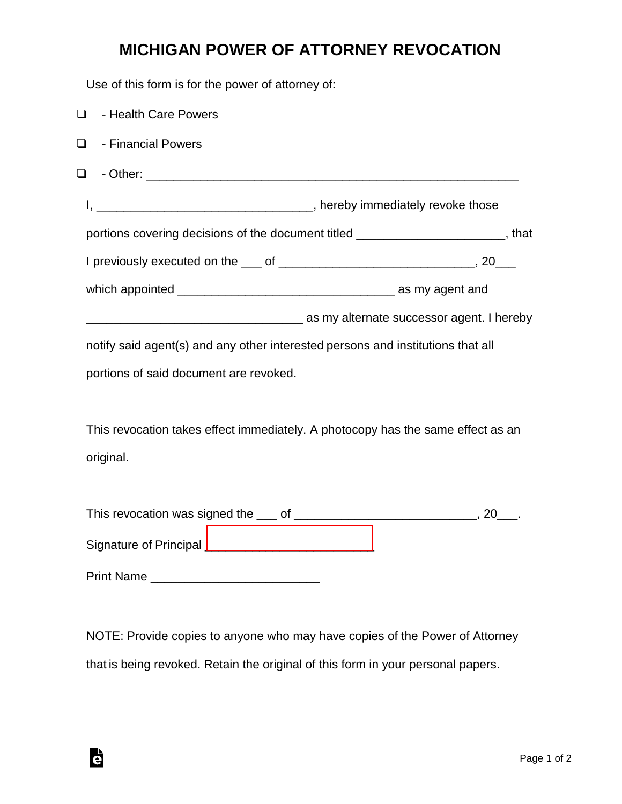## **MICHIGAN POWER OF ATTORNEY REVOCATION**

Use of this form is for the power of attorney of:

| $\Box$ | - Health Care Powers                                                             |  |
|--------|----------------------------------------------------------------------------------|--|
| $\Box$ | - Financial Powers                                                               |  |
| $\Box$ |                                                                                  |  |
|        |                                                                                  |  |
|        | portions covering decisions of the document titled _______________________, that |  |
|        |                                                                                  |  |
|        |                                                                                  |  |
|        | as my alternate successor agent. I hereby interface successor agent. I hereby    |  |
|        | notify said agent(s) and any other interested persons and institutions that all  |  |
|        | portions of said document are revoked.                                           |  |
|        |                                                                                  |  |
|        | This revocation takes effect immediately. A photocopy has the same effect as an  |  |
|        | original.                                                                        |  |
|        |                                                                                  |  |
|        |                                                                                  |  |
|        | Signature of Principal _________________________________                         |  |

Print Name \_\_\_\_\_\_\_\_\_\_\_\_\_\_\_\_\_\_\_\_\_\_\_\_\_

Ġ

NOTE: Provide copies to anyone who may have copies of the Power of Attorney that is being revoked. Retain the original of this form in your personal papers.